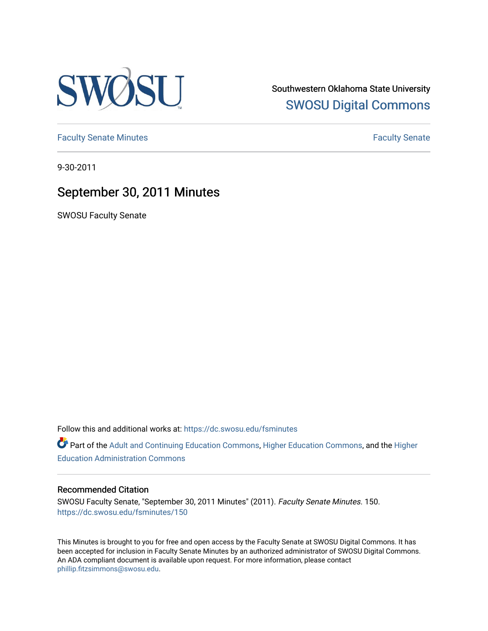

Southwestern Oklahoma State University [SWOSU Digital Commons](https://dc.swosu.edu/) 

[Faculty Senate Minutes](https://dc.swosu.edu/fsminutes) **Faculty** Senate Minutes

9-30-2011

# September 30, 2011 Minutes

SWOSU Faculty Senate

Follow this and additional works at: [https://dc.swosu.edu/fsminutes](https://dc.swosu.edu/fsminutes?utm_source=dc.swosu.edu%2Ffsminutes%2F150&utm_medium=PDF&utm_campaign=PDFCoverPages) 

Part of the [Adult and Continuing Education Commons,](http://network.bepress.com/hgg/discipline/1375?utm_source=dc.swosu.edu%2Ffsminutes%2F150&utm_medium=PDF&utm_campaign=PDFCoverPages) [Higher Education Commons,](http://network.bepress.com/hgg/discipline/1245?utm_source=dc.swosu.edu%2Ffsminutes%2F150&utm_medium=PDF&utm_campaign=PDFCoverPages) and the [Higher](http://network.bepress.com/hgg/discipline/791?utm_source=dc.swosu.edu%2Ffsminutes%2F150&utm_medium=PDF&utm_campaign=PDFCoverPages) [Education Administration Commons](http://network.bepress.com/hgg/discipline/791?utm_source=dc.swosu.edu%2Ffsminutes%2F150&utm_medium=PDF&utm_campaign=PDFCoverPages) 

#### Recommended Citation

SWOSU Faculty Senate, "September 30, 2011 Minutes" (2011). Faculty Senate Minutes. 150. [https://dc.swosu.edu/fsminutes/150](https://dc.swosu.edu/fsminutes/150?utm_source=dc.swosu.edu%2Ffsminutes%2F150&utm_medium=PDF&utm_campaign=PDFCoverPages) 

This Minutes is brought to you for free and open access by the Faculty Senate at SWOSU Digital Commons. It has been accepted for inclusion in Faculty Senate Minutes by an authorized administrator of SWOSU Digital Commons. An ADA compliant document is available upon request. For more information, please contact [phillip.fitzsimmons@swosu.edu](mailto:phillip.fitzsimmons@swosu.edu).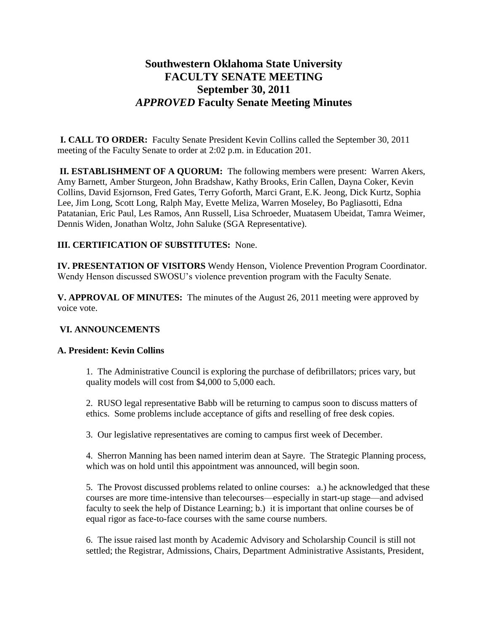## **Southwestern Oklahoma State University FACULTY SENATE MEETING September 30, 2011** *APPROVED* **Faculty Senate Meeting Minutes**

**I. CALL TO ORDER:** Faculty Senate President Kevin Collins called the September 30, 2011 meeting of the Faculty Senate to order at 2:02 p.m. in Education 201.

**II. ESTABLISHMENT OF A QUORUM:** The following members were present: Warren Akers, Amy Barnett, Amber Sturgeon, John Bradshaw, Kathy Brooks, Erin Callen, Dayna Coker, Kevin Collins, David Esjornson, Fred Gates, Terry Goforth, Marci Grant, E.K. Jeong, Dick Kurtz, Sophia Lee, Jim Long, Scott Long, Ralph May, Evette Meliza, Warren Moseley, Bo Pagliasotti, Edna Patatanian, Eric Paul, Les Ramos, Ann Russell, Lisa Schroeder, Muatasem Ubeidat, Tamra Weimer, Dennis Widen, Jonathan Woltz, John Saluke (SGA Representative).

## **III. CERTIFICATION OF SUBSTITUTES:** None.

**IV. PRESENTATION OF VISITORS** Wendy Henson, Violence Prevention Program Coordinator. Wendy Henson discussed SWOSU's violence prevention program with the Faculty Senate.

**V. APPROVAL OF MINUTES:** The minutes of the August 26, 2011 meeting were approved by voice vote.

#### **VI. ANNOUNCEMENTS**

#### **A. President: Kevin Collins**

1. The Administrative Council is exploring the purchase of defibrillators; prices vary, but quality models will cost from \$4,000 to 5,000 each.

2. RUSO legal representative Babb will be returning to campus soon to discuss matters of ethics. Some problems include acceptance of gifts and reselling of free desk copies.

3. Our legislative representatives are coming to campus first week of December.

4. Sherron Manning has been named interim dean at Sayre. The Strategic Planning process, which was on hold until this appointment was announced, will begin soon.

5. The Provost discussed problems related to online courses: a.) he acknowledged that these courses are more time-intensive than telecourses—especially in start-up stage—and advised faculty to seek the help of Distance Learning; b.) it is important that online courses be of equal rigor as face-to-face courses with the same course numbers.

6. The issue raised last month by Academic Advisory and Scholarship Council is still not settled; the Registrar, Admissions, Chairs, Department Administrative Assistants, President,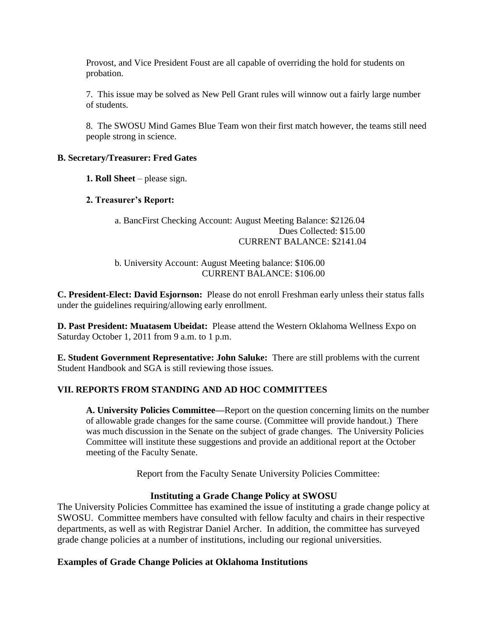Provost, and Vice President Foust are all capable of overriding the hold for students on probation.

7. This issue may be solved as New Pell Grant rules will winnow out a fairly large number of students.

8. The SWOSU Mind Games Blue Team won their first match however, the teams still need people strong in science.

#### **B. Secretary/Treasurer: Fred Gates**

**1. Roll Sheet** – please sign.

#### **2. Treasurer's Report:**

#### a. BancFirst Checking Account: August Meeting Balance: \$2126.04 Dues Collected: \$15.00 CURRENT BALANCE: \$2141.04

#### b. University Account: August Meeting balance: \$106.00 CURRENT BALANCE: \$106.00

**C. President-Elect: David Esjornson:** Please do not enroll Freshman early unless their status falls under the guidelines requiring/allowing early enrollment.

**D. Past President: Muatasem Ubeidat:** Please attend the Western Oklahoma Wellness Expo on Saturday October 1, 2011 from 9 a.m. to 1 p.m.

**E. Student Government Representative: John Saluke:** There are still problems with the current Student Handbook and SGA is still reviewing those issues.

#### **VII. REPORTS FROM STANDING AND AD HOC COMMITTEES**

**A. University Policies Committee—**Report on the question concerning limits on the number of allowable grade changes for the same course. (Committee will provide handout.) There was much discussion in the Senate on the subject of grade changes. The University Policies Committee will institute these suggestions and provide an additional report at the October meeting of the Faculty Senate.

Report from the Faculty Senate University Policies Committee:

#### **Instituting a Grade Change Policy at SWOSU**

The University Policies Committee has examined the issue of instituting a grade change policy at SWOSU. Committee members have consulted with fellow faculty and chairs in their respective departments, as well as with Registrar Daniel Archer. In addition, the committee has surveyed grade change policies at a number of institutions, including our regional universities.

#### **Examples of Grade Change Policies at Oklahoma Institutions**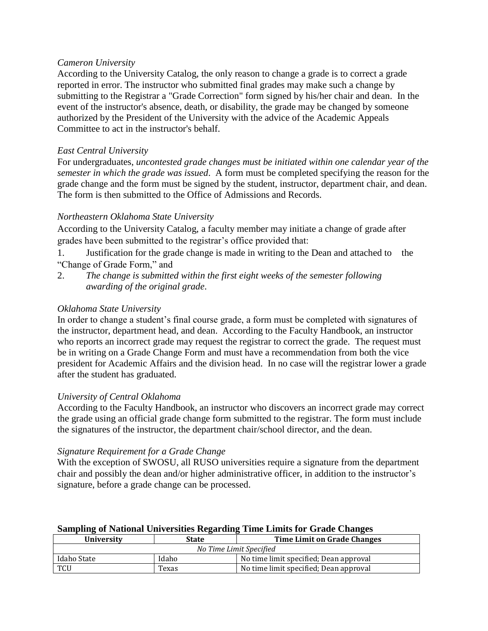#### *Cameron University*

According to the University Catalog, the only reason to change a grade is to correct a grade reported in error. The instructor who submitted final grades may make such a change by submitting to the Registrar a "Grade Correction" form signed by his/her chair and dean. In the event of the instructor's absence, death, or disability, the grade may be changed by someone authorized by the President of the University with the advice of the Academic Appeals Committee to act in the instructor's behalf.

#### *East Central University*

For undergraduates, *uncontested grade changes must be initiated within one calendar year of the semester in which the grade was issued*. A form must be completed specifying the reason for the grade change and the form must be signed by the student, instructor, department chair, and dean. The form is then submitted to the Office of Admissions and Records.

#### *Northeastern Oklahoma State University*

According to the University Catalog, a faculty member may initiate a change of grade after grades have been submitted to the registrar's office provided that:

1. Justification for the grade change is made in writing to the Dean and attached to the "Change of Grade Form," and

2. *The change is submitted within the first eight weeks of the semester following awarding of the original grade*.

#### *Oklahoma State University*

In order to change a student's final course grade, a form must be completed with signatures of the instructor, department head, and dean. According to the Faculty Handbook, an instructor who reports an incorrect grade may request the registrar to correct the grade. The request must be in writing on a Grade Change Form and must have a recommendation from both the vice president for Academic Affairs and the division head. In no case will the registrar lower a grade after the student has graduated.

#### *University of Central Oklahoma*

According to the Faculty Handbook, an instructor who discovers an incorrect grade may correct the grade using an official grade change form submitted to the registrar. The form must include the signatures of the instructor, the department chair/school director, and the dean.

#### *Signature Requirement for a Grade Change*

With the exception of SWOSU, all RUSO universities require a signature from the department chair and possibly the dean and/or higher administrative officer, in addition to the instructor's signature, before a grade change can be processed.

#### **Sampling of National Universities Regarding Time Limits for Grade Changes**

| Universitv              | State | Time Limit on Grade Changes            |  |
|-------------------------|-------|----------------------------------------|--|
| No Time Limit Specified |       |                                        |  |
| Idaho State             | Idaho | No time limit specified; Dean approval |  |
| TCU                     | Texas | No time limit specified; Dean approval |  |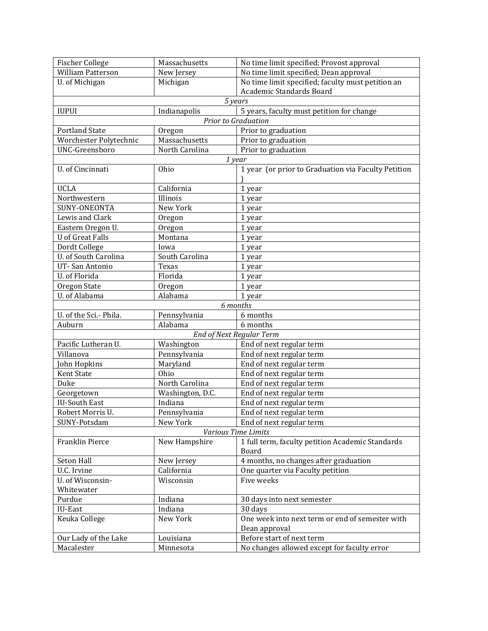| <b>Fischer College</b>     | Massachusetts    | No time limit specified; Provost approval           |  |
|----------------------------|------------------|-----------------------------------------------------|--|
| William Patterson          | New Jersey       | No time limit specified; Dean approval              |  |
| U. of Michigan             | Michigan         | No time limit specified; faculty must petition an   |  |
|                            |                  | Academic Standards Board                            |  |
| 5 years                    |                  |                                                     |  |
| <b>IUPUI</b>               | Indianapolis     | 5 years, faculty must petition for change           |  |
|                            |                  | Prior to Graduation                                 |  |
| <b>Portland State</b>      | Oregon           | Prior to graduation                                 |  |
| Worchester Polytechnic     | Massachusetts    | Prior to graduation                                 |  |
| <b>UNC-Greensboro</b>      | North Carolina   | Prior to graduation                                 |  |
| 1 year                     |                  |                                                     |  |
| U. of Cincinnati           | Ohio             | 1 year (or prior to Graduation via Faculty Petition |  |
|                            |                  |                                                     |  |
| <b>UCLA</b>                | California       | 1 year                                              |  |
| Northwestern               | Illinois         | 1 year                                              |  |
| SUNY-ONEONTA               | New York         | 1 year                                              |  |
| Lewis and Clark            | Oregon           | 1 year                                              |  |
| Eastern Oregon U.          | Oregon           | 1 year                                              |  |
| <b>U</b> of Great Falls    | Montana          | 1 year                                              |  |
| Dordt College              | Iowa             | 1 year                                              |  |
| U. of South Carolina       | South Carolina   | 1 year                                              |  |
| UT-San Antonio             | Texas            | 1 year                                              |  |
| U. of Florida              | Florida          | 1 year                                              |  |
| Oregon State               | Oregon           | 1 year                                              |  |
| U. of Alabama              | Alabama          | 1 year                                              |  |
|                            |                  | 6 months                                            |  |
| U. of the Sci.- Phila.     | Pennsylvania     | 6 months                                            |  |
| Auburn                     | Alabama          | 6 months                                            |  |
| End of Next Regular Term   |                  |                                                     |  |
| Pacific Lutheran U.        | Washington       | End of next regular term                            |  |
| Villanova                  | Pennsylvania     | End of next regular term                            |  |
| John Hopkins               | Maryland         | End of next regular term                            |  |
| <b>Kent State</b>          | Ohio             | End of next regular term                            |  |
| Duke                       | North Carolina   | End of next regular term                            |  |
| Georgetown                 | Washington, D.C. | End of next regular term                            |  |
| <b>IU-South East</b>       | Indiana          | End of next regular term                            |  |
| Robert Morris U.           | Pennsylvania     | End of next regular term                            |  |
| SUNY-Potsdam               | New York         | End of next regular term                            |  |
| <b>Various Time Limits</b> |                  |                                                     |  |
| Franklin Pierce            | New Hampshire    | 1 full term, faculty petition Academic Standards    |  |
|                            |                  | Board                                               |  |
| Seton Hall                 | New Jersey       | 4 months, no changes after graduation               |  |
| U.C. Irvine                | California       | One quarter via Faculty petition                    |  |
| U. of Wisconsin-           | Wisconsin        | Five weeks                                          |  |
| Whitewater                 |                  |                                                     |  |
| Purdue                     | Indiana          | 30 days into next semester                          |  |
| IU-East                    | Indiana          | 30 days                                             |  |
| Keuka College              | New York         | One week into next term or end of semester with     |  |
|                            |                  | Dean approval                                       |  |
| Our Lady of the Lake       | Louisiana        | Before start of next term                           |  |
| Macalester                 | Minnesota        | No changes allowed except for faculty error         |  |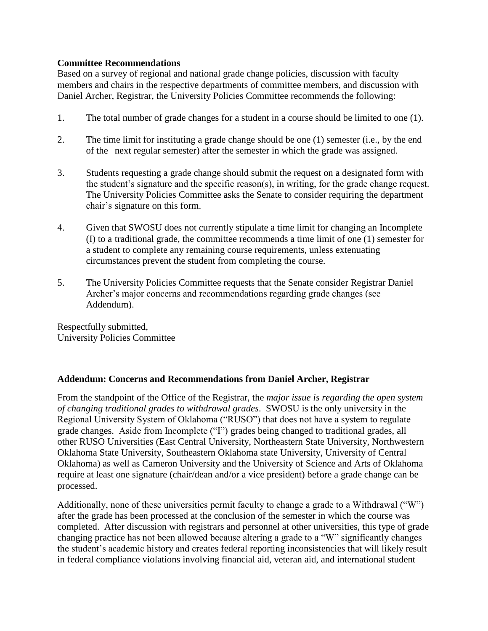## **Committee Recommendations**

Based on a survey of regional and national grade change policies, discussion with faculty members and chairs in the respective departments of committee members, and discussion with Daniel Archer, Registrar, the University Policies Committee recommends the following:

- 1. The total number of grade changes for a student in a course should be limited to one (1).
- 2. The time limit for instituting a grade change should be one (1) semester (i.e., by the end of the next regular semester) after the semester in which the grade was assigned.
- 3. Students requesting a grade change should submit the request on a designated form with the student's signature and the specific reason(s), in writing, for the grade change request. The University Policies Committee asks the Senate to consider requiring the department chair's signature on this form.
- 4. Given that SWOSU does not currently stipulate a time limit for changing an Incomplete (I) to a traditional grade, the committee recommends a time limit of one (1) semester for a student to complete any remaining course requirements, unless extenuating circumstances prevent the student from completing the course.
- 5. The University Policies Committee requests that the Senate consider Registrar Daniel Archer's major concerns and recommendations regarding grade changes (see Addendum).

Respectfully submitted, University Policies Committee

## **Addendum: Concerns and Recommendations from Daniel Archer, Registrar**

From the standpoint of the Office of the Registrar, the *major issue is regarding the open system of changing traditional grades to withdrawal grades*. SWOSU is the only university in the Regional University System of Oklahoma ("RUSO") that does not have a system to regulate grade changes. Aside from Incomplete ("I") grades being changed to traditional grades, all other RUSO Universities (East Central University, Northeastern State University, Northwestern Oklahoma State University, Southeastern Oklahoma state University, University of Central Oklahoma) as well as Cameron University and the University of Science and Arts of Oklahoma require at least one signature (chair/dean and/or a vice president) before a grade change can be processed.

Additionally, none of these universities permit faculty to change a grade to a Withdrawal  $(``W")$ after the grade has been processed at the conclusion of the semester in which the course was completed. After discussion with registrars and personnel at other universities, this type of grade changing practice has not been allowed because altering a grade to a "W" significantly changes the student's academic history and creates federal reporting inconsistencies that will likely result in federal compliance violations involving financial aid, veteran aid, and international student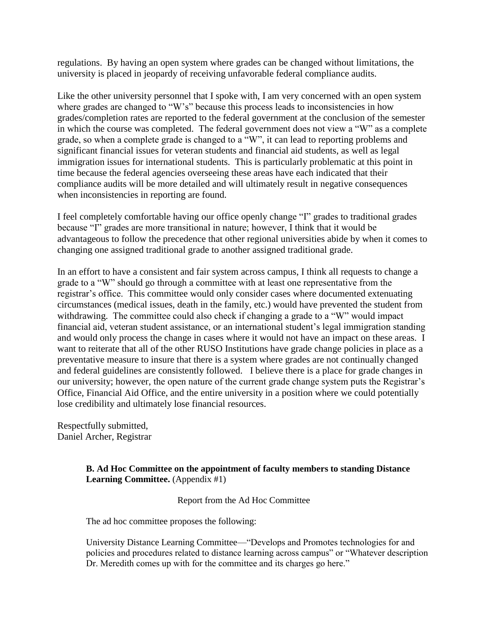regulations. By having an open system where grades can be changed without limitations, the university is placed in jeopardy of receiving unfavorable federal compliance audits.

Like the other university personnel that I spoke with, I am very concerned with an open system where grades are changed to "W's" because this process leads to inconsistencies in how grades/completion rates are reported to the federal government at the conclusion of the semester in which the course was completed. The federal government does not view a "W" as a complete grade, so when a complete grade is changed to a "W", it can lead to reporting problems and significant financial issues for veteran students and financial aid students, as well as legal immigration issues for international students. This is particularly problematic at this point in time because the federal agencies overseeing these areas have each indicated that their compliance audits will be more detailed and will ultimately result in negative consequences when inconsistencies in reporting are found.

I feel completely comfortable having our office openly change "I" grades to traditional grades because "I" grades are more transitional in nature; however, I think that it would be advantageous to follow the precedence that other regional universities abide by when it comes to changing one assigned traditional grade to another assigned traditional grade.

In an effort to have a consistent and fair system across campus, I think all requests to change a grade to a "W" should go through a committee with at least one representative from the registrar's office. This committee would only consider cases where documented extenuating circumstances (medical issues, death in the family, etc.) would have prevented the student from withdrawing. The committee could also check if changing a grade to a "W" would impact financial aid, veteran student assistance, or an international student's legal immigration standing and would only process the change in cases where it would not have an impact on these areas. I want to reiterate that all of the other RUSO Institutions have grade change policies in place as a preventative measure to insure that there is a system where grades are not continually changed and federal guidelines are consistently followed. I believe there is a place for grade changes in our university; however, the open nature of the current grade change system puts the Registrar's Office, Financial Aid Office, and the entire university in a position where we could potentially lose credibility and ultimately lose financial resources.

Respectfully submitted, Daniel Archer, Registrar

#### **B. Ad Hoc Committee on the appointment of faculty members to standing Distance**  Learning Committee. (Appendix #1)

Report from the Ad Hoc Committee

The ad hoc committee proposes the following:

University Distance Learning Committee—"Develops and Promotes technologies for and policies and procedures related to distance learning across campus" or "Whatever description Dr. Meredith comes up with for the committee and its charges go here."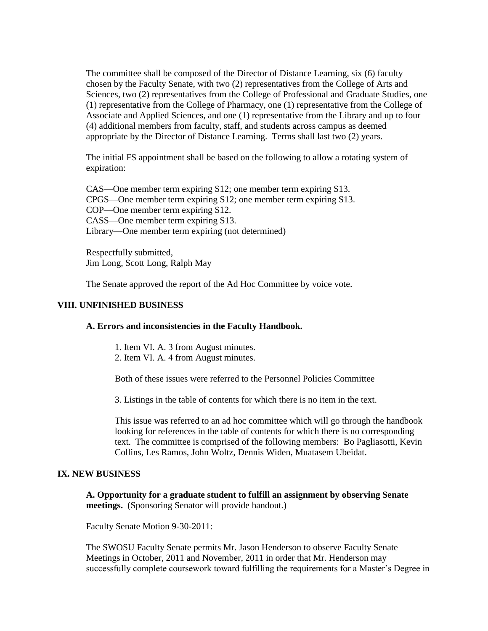The committee shall be composed of the Director of Distance Learning, six (6) faculty chosen by the Faculty Senate, with two (2) representatives from the College of Arts and Sciences, two (2) representatives from the College of Professional and Graduate Studies, one (1) representative from the College of Pharmacy, one (1) representative from the College of Associate and Applied Sciences, and one (1) representative from the Library and up to four (4) additional members from faculty, staff, and students across campus as deemed appropriate by the Director of Distance Learning. Terms shall last two (2) years.

The initial FS appointment shall be based on the following to allow a rotating system of expiration:

CAS—One member term expiring S12; one member term expiring S13. CPGS—One member term expiring S12; one member term expiring S13. COP—One member term expiring S12. CASS—One member term expiring S13. Library—One member term expiring (not determined)

Respectfully submitted, Jim Long, Scott Long, Ralph May

The Senate approved the report of the Ad Hoc Committee by voice vote.

#### **VIII. UNFINISHED BUSINESS**

#### **A. Errors and inconsistencies in the Faculty Handbook.**

- 1. Item VI. A. 3 from August minutes.
- 2. Item VI. A. 4 from August minutes.

Both of these issues were referred to the Personnel Policies Committee

3. Listings in the table of contents for which there is no item in the text.

This issue was referred to an ad hoc committee which will go through the handbook looking for references in the table of contents for which there is no corresponding text. The committee is comprised of the following members: Bo Pagliasotti, Kevin Collins, Les Ramos, John Woltz, Dennis Widen, Muatasem Ubeidat.

#### **IX. NEW BUSINESS**

**A. Opportunity for a graduate student to fulfill an assignment by observing Senate meetings.** (Sponsoring Senator will provide handout.)

Faculty Senate Motion 9-30-2011:

The SWOSU Faculty Senate permits Mr. Jason Henderson to observe Faculty Senate Meetings in October, 2011 and November, 2011 in order that Mr. Henderson may successfully complete coursework toward fulfilling the requirements for a Master's Degree in